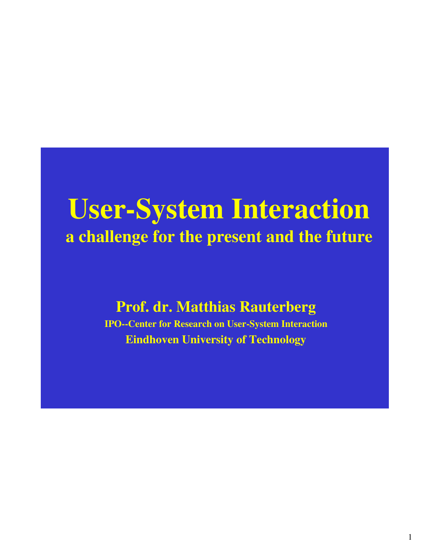# **User-System Interaction a challenge for the present and the future**

#### **Prof. dr. Matthias Rauterberg**

**IPO--Center for Research on User-System Interaction Eindhoven University of Technology**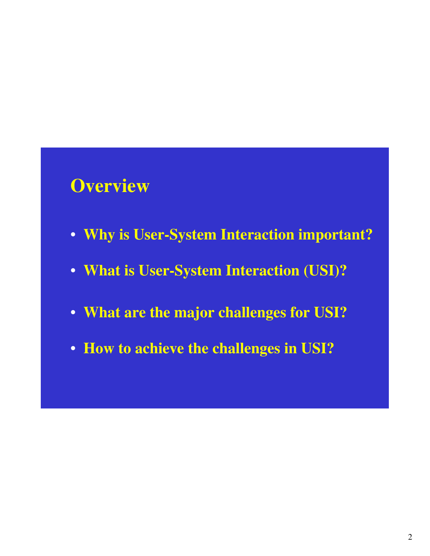#### **Overview**

- **Why is User-System Interaction important?**
- **What is User-System Interaction (USI)?**
- **What are the major challenges for USI?**
- **How to achieve the challenges in USI?**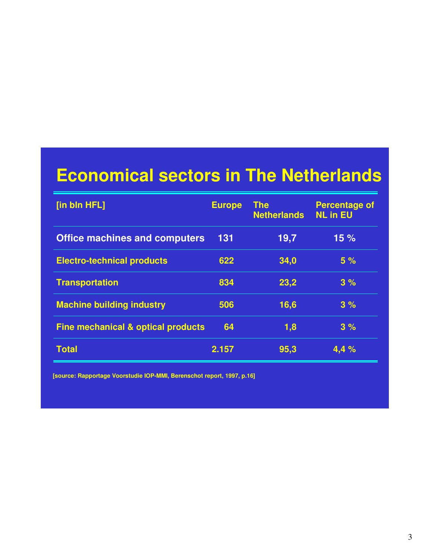#### **Economical sectors in The Netherlands**

| [in bln HFL]                                  | <b>Europe</b> | <b>The</b><br><b>Netherlands</b> | <b>Percentage of</b><br><b>NL in EU</b> |
|-----------------------------------------------|---------------|----------------------------------|-----------------------------------------|
| <b>Office machines and computers</b>          | 131           | 19,7                             | 15%                                     |
| <b>Electro-technical products</b>             | 622           | 34,0                             | 5%                                      |
| <b>Transportation</b>                         | 834           | 23,2                             | 3%                                      |
| <b>Machine building industry</b>              | 506           | 16,6                             | 3%                                      |
| <b>Fine mechanical &amp; optical products</b> | 64            | 1,8                              | 3%                                      |
| <b>Total</b>                                  | 2.157         | 95,3                             | 4.4%                                    |

**[source: Rapportage Voorstudie IOP-MMI, Berenschot report, 1997, p.16]**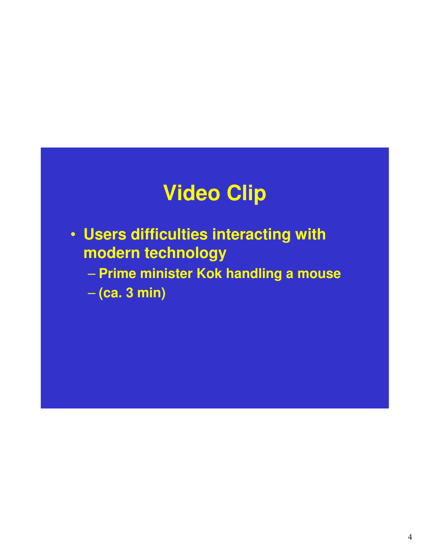## **Video Clip**

• **Users difficulties interacting with modern technology**

– **Prime minister Kok handling a mouse**

– **(ca. 3 min)**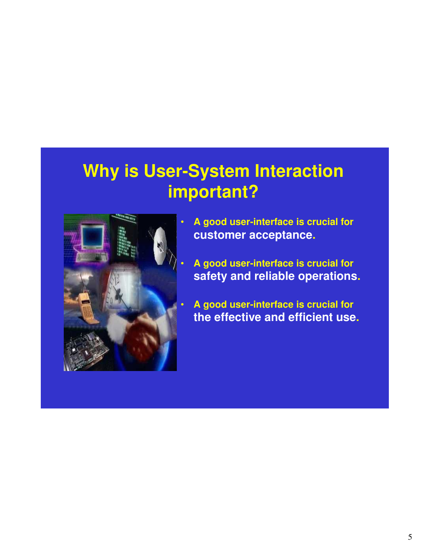#### **Why is User-System Interaction important?**



- **A good user-interface is crucial for customer acceptance.**
	- **A good user-interface is crucial for safety and reliable operations.**
	- **A good user-interface is crucial for the effective and efficient use.**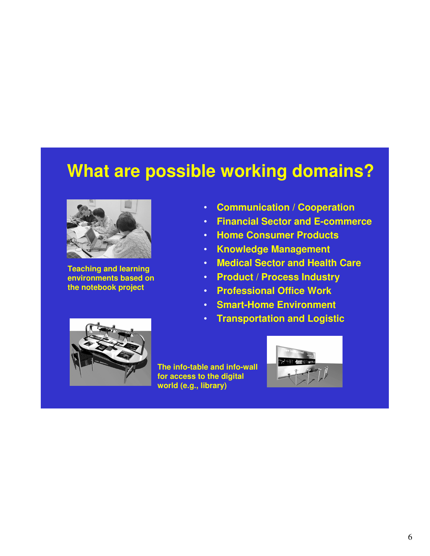#### **What are possible working domains?**



**Teaching and learning environments based on the notebook project**

- **Communication / Cooperation**
- **Financial Sector and E-commerce**
- **Home Consumer Products**
- **Knowledge Management**
- **Medical Sector and Health Care**
- **Product / Process Industry**
- **Professional Office Work**
- **Smart-Home Environment**
- **Transportation and Logistic**



**The info-table and info-wall for access to the digital world (e.g., library)**

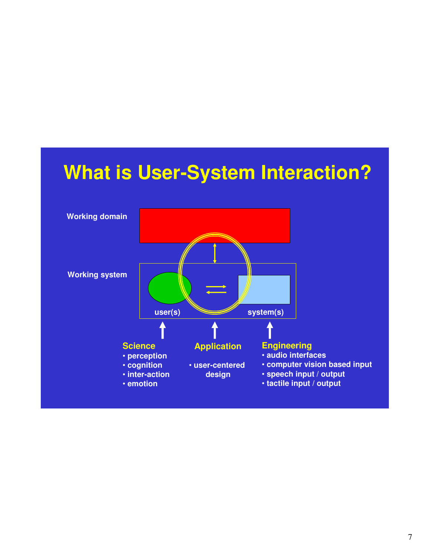### **What is User-System Interaction?**

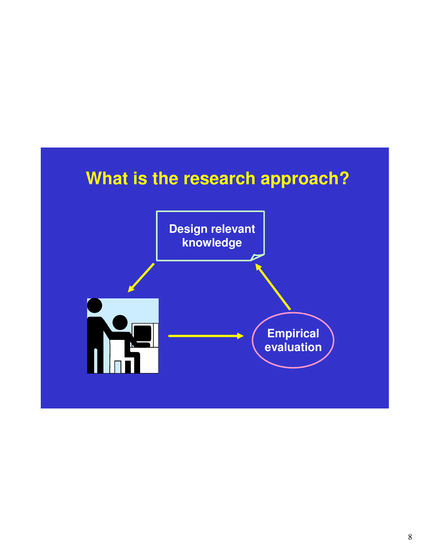### **What is the research approach?**

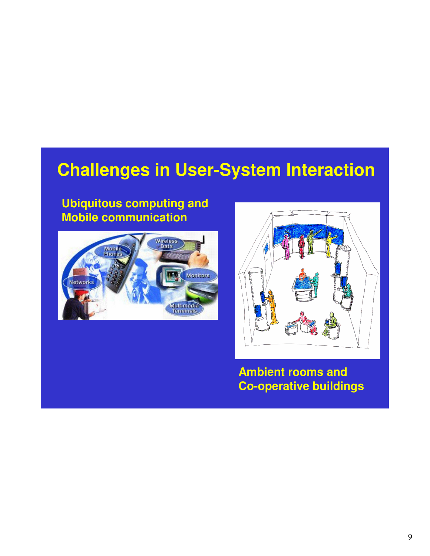#### **Challenges in User-System Interaction**

#### **Ubiquitous computing and Mobile communication**





**Ambient rooms and Co-operative buildings**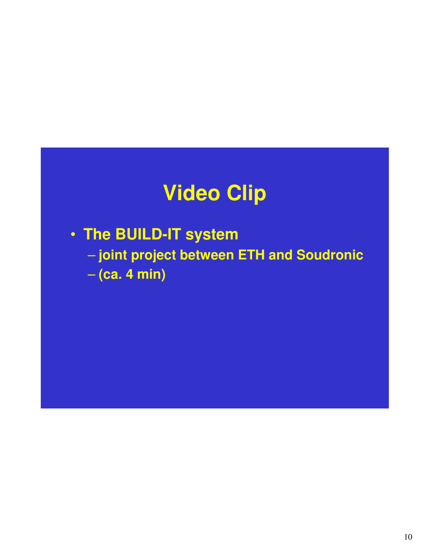## **Video Clip**

• **The BUILD-IT system** – **joint project between ETH and Soudronic** – **(ca. 4 min)**